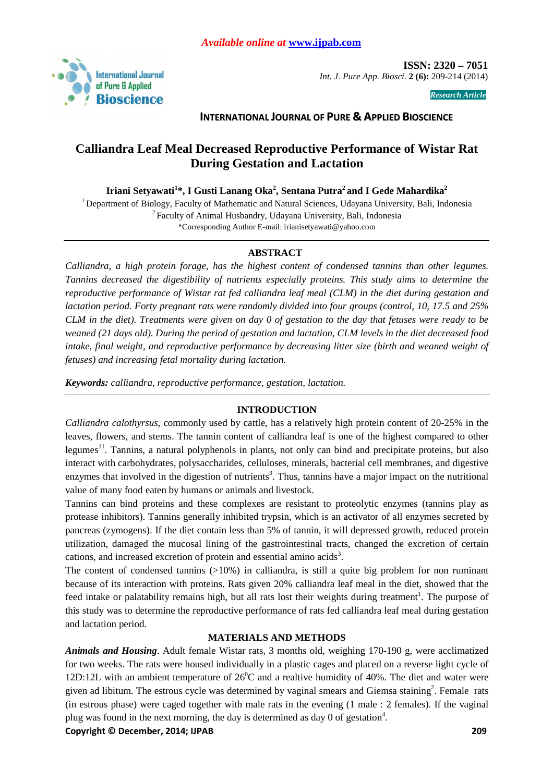

 **ISSN: 2320 – 7051**  *Int. J. Pure App. Biosci.* **2 (6):** 209-214 (2014)

*Research Article* 

## **INTERNATIONAL JOURNAL OF PURE & APPLIED BIOSCIENCE**

# **Calliandra Leaf Meal Decreased Reproductive Performance of Wistar Rat During Gestation and Lactation**

**Iriani Setyawati<sup>1</sup> \*, I Gusti Lanang Oka<sup>2</sup> , Sentana Putra<sup>2</sup>and I Gede Mahardika<sup>2</sup>**

<sup>1</sup> Department of Biology, Faculty of Mathematic and Natural Sciences, Udayana University, Bali, Indonesia <sup>2</sup>Faculty of Animal Husbandry, Udayana University, Bali, Indonesia \*Corresponding Author E-mail: irianisetyawati@yahoo.com

## **ABSTRACT**

*Calliandra, a high protein forage, has the highest content of condensed tannins than other legumes. Tannins decreased the digestibility of nutrients especially proteins. This study aims to determine the reproductive performance of Wistar rat fed calliandra leaf meal (CLM) in the diet during gestation and lactation period. Forty pregnant rats were randomly divided into four groups (control, 10, 17.5 and 25% CLM in the diet). Treatments were given on day 0 of gestation to the day that fetuses were ready to be weaned (21 days old). During the period of gestation and lactation, CLM levels in the diet decreased food intake, final weight, and reproductive performance by decreasing litter size (birth and weaned weight of fetuses) and increasing fetal mortality during lactation.* 

*Keywords: calliandra, reproductive performance, gestation, lactation.* 

## **INTRODUCTION**

*Calliandra calothyrsus*, commonly used by cattle, has a relatively high protein content of 20-25% in the leaves, flowers, and stems. The tannin content of calliandra leaf is one of the highest compared to other legumes $11$ . Tannins, a natural polyphenols in plants, not only can bind and precipitate proteins, but also interact with carbohydrates, polysaccharides, celluloses, minerals, bacterial cell membranes, and digestive enzymes that involved in the digestion of nutrients<sup>3</sup>. Thus, tannins have a major impact on the nutritional value of many food eaten by humans or animals and livestock.

Tannins can bind proteins and these complexes are resistant to proteolytic enzymes (tannins play as protease inhibitors). Tannins generally inhibited trypsin, which is an activator of all enzymes secreted by pancreas (zymogens). If the diet contain less than 5% of tannin, it will depressed growth, reduced protein utilization, damaged the mucosal lining of the gastrointestinal tracts, changed the excretion of certain cations, and increased excretion of protein and essential amino acids<sup>3</sup>.

The content of condensed tannins  $(0.10\%)$  in calliandra, is still a quite big problem for non ruminant because of its interaction with proteins. Rats given 20% calliandra leaf meal in the diet, showed that the feed intake or palatability remains high, but all rats lost their weights during treatment<sup>1</sup>. The purpose of this study was to determine the reproductive performance of rats fed calliandra leaf meal during gestation and lactation period.

## **MATERIALS AND METHODS**

*Animals and Housing*. Adult female Wistar rats, 3 months old, weighing 170-190 g, were acclimatized for two weeks. The rats were housed individually in a plastic cages and placed on a reverse light cycle of 12D:12L with an ambient temperature of  $26^{\circ}$ C and a realtive humidity of 40%. The diet and water were given ad libitum. The estrous cycle was determined by vaginal smears and Giemsa staining<sup>2</sup>. Female rats (in estrous phase) were caged together with male rats in the evening (1 male : 2 females). If the vaginal plug was found in the next morning, the day is determined as day  $0$  of gestation<sup>4</sup>.

**Copyright © December, 2014; IJPAB 209**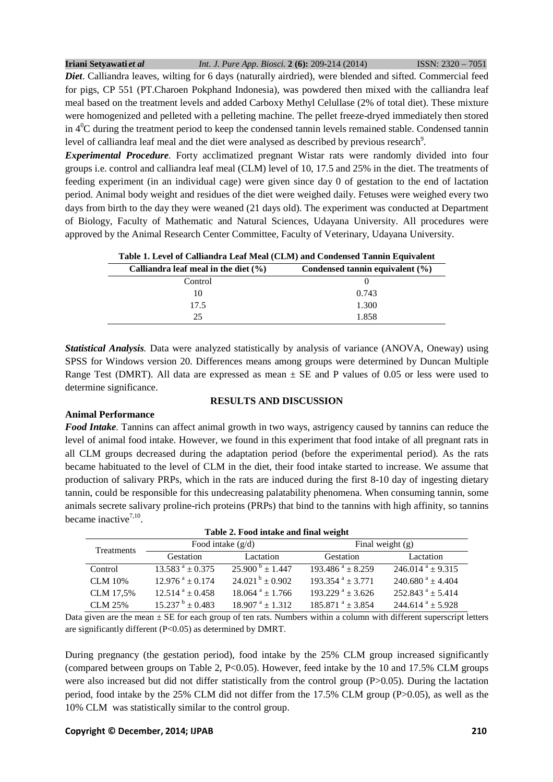| Iriani Setyawati et al | Int. J. Pure App. Biosci. 2 (6): 209-214 (2014)                                                                    | $ISSN: 2320 - 7051$ |
|------------------------|--------------------------------------------------------------------------------------------------------------------|---------------------|
|                        | <b>Diet.</b> Calliandra leaves, wilting for 6 days (naturally airdried), were blended and sifted. Commercial feed  |                     |
|                        | for pigs, CP 551 (PT.Charoen Pokphand Indonesia), was powdered then mixed with the calliandra leaf                 |                     |
|                        | meal based on the treatment levels and added Carboxy Methyl Celullase (2% of total diet). These mixture            |                     |
|                        | were homogenized and pelleted with a pelleting machine. The pellet freeze-dryed immediately then stored            |                     |
|                        | in $4^{\circ}$ C during the treatment period to keep the condensed tannin levels remained stable. Condensed tannin |                     |
|                        | level of calliandra leaf meal and the diet were analysed as described by previous research <sup>9</sup> .          |                     |

*Experimental Procedure*. Forty acclimatized pregnant Wistar rats were randomly divided into four groups i.e. control and calliandra leaf meal (CLM) level of 10, 17.5 and 25% in the diet. The treatments of feeding experiment (in an individual cage) were given since day 0 of gestation to the end of lactation period. Animal body weight and residues of the diet were weighed daily. Fetuses were weighed every two days from birth to the day they were weaned (21 days old). The experiment was conducted at Department of Biology, Faculty of Mathematic and Natural Sciences, Udayana University. All procedures were approved by the Animal Research Center Committee, Faculty of Veterinary, Udayana University.

| Table 1. Level of Calliandra Leaf Meal (CLM) and Condensed Tannin Equivalent |                                     |  |  |
|------------------------------------------------------------------------------|-------------------------------------|--|--|
| Calliandra leaf meal in the diet $(\% )$                                     | Condensed tannin equivalent $(\% )$ |  |  |
| Control                                                                      |                                     |  |  |
| 10                                                                           | 0.743                               |  |  |
| 17.5                                                                         | 1.300                               |  |  |
| 25                                                                           | 1.858                               |  |  |

*Statistical Analysis.* Data were analyzed statistically by analysis of variance (ANOVA, Oneway) using SPSS for Windows version 20. Differences means among groups were determined by Duncan Multiple Range Test (DMRT). All data are expressed as mean  $\pm$  SE and P values of 0.05 or less were used to determine significance.

**RESULTS AND DISCUSSION** 

## **Animal Performance**

## *Food Intake.* Tannins can affect animal growth in two ways, astrigency caused by tannins can reduce the level of animal food intake. However, we found in this experiment that food intake of all pregnant rats in all CLM groups decreased during the adaptation period (before the experimental period). As the rats became habituated to the level of CLM in the diet, their food intake started to increase. We assume that production of salivary PRPs, which in the rats are induced during the first 8-10 day of ingesting dietary tannin, could be responsible for this undecreasing palatability phenomena. When consuming tannin, some animals secrete salivary proline-rich proteins (PRPs) that bind to the tannins with high affinity, so tannins became inactive<sup>7,10</sup>.

| Tuble 2: I bou mane and man weight |                                |                               |                                |                                 |
|------------------------------------|--------------------------------|-------------------------------|--------------------------------|---------------------------------|
| Treatments                         | Food intake $(g/d)$            |                               | Final weight $(g)$             |                                 |
|                                    | Gestation                      | Lactation                     | Gestation                      | Lactation                       |
| Control                            | $13.583^{a} + 0.375$           | $25.900^{b} \pm 1.447$        | $193.486^{\text{ a}} + 8.259$  | $246.014^{a} + 9.315$           |
| CLM 10%                            | $12.976^{\text{ a}} \pm 0.174$ | $24.021^{b}$ + 0.902          | $193.354$ <sup>a</sup> ± 3.771 | $240.680^{\text{ a}} \pm 4.404$ |
| CLM 17.5%                          | $12.514^{a} + 0.458$           | $18.064$ <sup>a</sup> ± 1.766 | $193.229^{\text{a}} + 3.626$   | $252.843^{\text{a}} \pm 5.414$  |
| CLM 25%                            | $15.237^{b}$ + 0.483           | $18.907^{\text{ a}} + 1.312$  | $185.871^{a} + 3.854$          | $244.614^{a} + 5.928$           |

|  |  |  | Table 2. Food intake and final weight |
|--|--|--|---------------------------------------|
|  |  |  |                                       |

Data given are the mean  $\pm$  SE for each group of ten rats. Numbers within a column with different superscript letters are significantly different (P<0.05) as determined by DMRT.

During pregnancy (the gestation period), food intake by the 25% CLM group increased significantly (compared between groups on Table 2, P<0.05). However, feed intake by the 10 and 17.5% CLM groups were also increased but did not differ statistically from the control group (P>0.05). During the lactation period, food intake by the 25% CLM did not differ from the 17.5% CLM group (P>0.05), as well as the 10% CLM was statistically similar to the control group.

### **Copyright © December, 2014; IJPAB 210**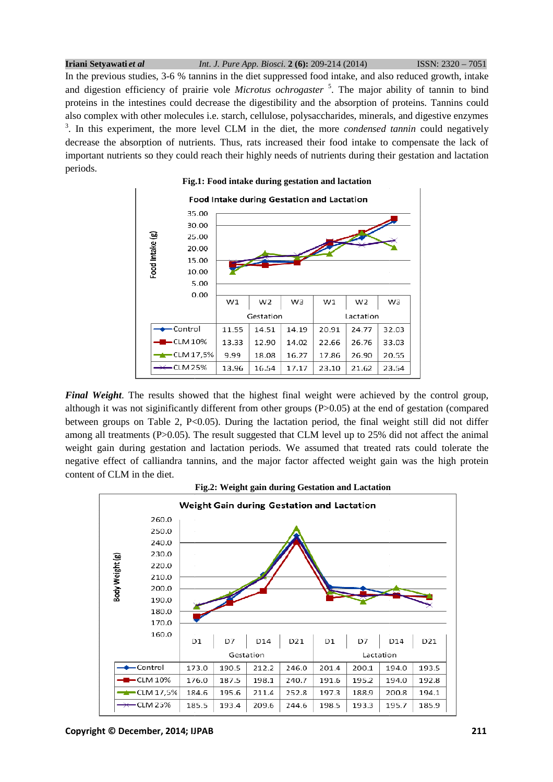**Iriani Setyawati** *et al*  In the previous studies, 3-6 % tannins in the diet suppressed food intake, and also reduced growth, intake and digestion efficiency of prairie vole *Microtus ochrogaster*<sup>5</sup>. The major ability of tannin to bind proteins in the intestines could decrease the digestibility and the absorption of proteins. Tannins could also complex with other molecules i.e. starch, cellulose, polysaccharides, minerals, and digestive enzymes  $3$ . In this experiment, the more level CLM in the diet, the more *condensed tannin* could negatively decrease the absorption of nutrients. Thus, rats increased their food intake to compensate the lack of important nutrients so they could reach their highly needs of nutrients during their gestation and lactation important nutrients so they could reach their highly needs of nutrients during their gestation and lactation periods. ISSN: 2320 – 7051



*Final Weight*. The results showed that the highest final weight were achieved by the control group, although it was not siginificantly different from other groups (P>0.05) at the end of gestation (compared between groups on Table 2,  $P<0.05$ ). During the lactation period, the final weight still did not differ among all treatments (P>0.05). The result suggested that CLM level up to 25% did not affect the animal weight gain during gestation and lactation periods. We assumed that treated rats could tolerate the negative effect of calliandra tannins, and the major factor affected weight gain was the high protein content of CLM in the diet. results showed that the highest final weight were achieved by the control group, siginificantly different from other groups (P>0.05) at the end of gestation (compared Table 2, P<0.05). During the lactation period, the fina all treat<br>gain du<br>e effect





**Copyright © December, 2014; IJPAB**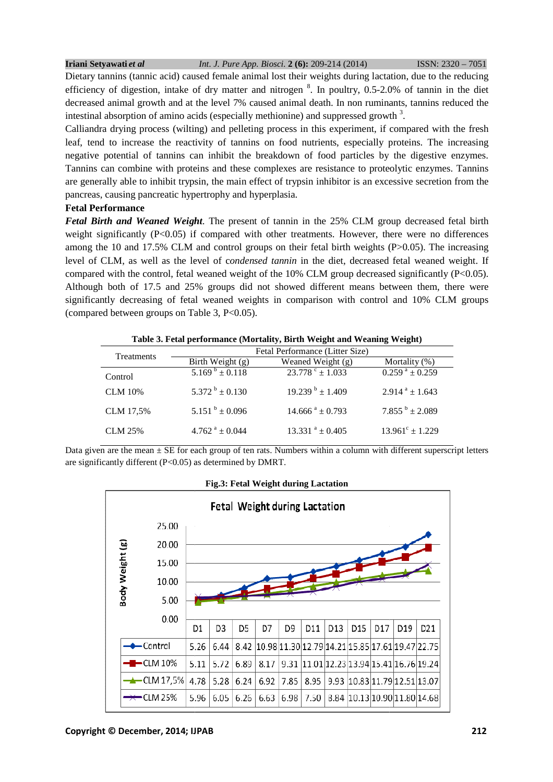#### **Iriani Setyawati** *et al*  ISSN: 2320 – 7051

Dietary tannins (tannic acid) caused female animal lost their weights during lactation, due to the reducing lactation, efficiency of digestion, intake of dry matter and nitrogen <sup>8</sup>. In poultry, 0.5-2.0% of tannin in the diet decreased animal growth and at the level 7% caused animal death. In non ruminants, tannins reduced the intestinal absorption of amino acids (especially methionine) and suppressed growth  $3$ .

Calliandra drying process (wilting) and pelleting process in this experiment, if compared with the fresh leaf, tend to increase the reactivity of tannins on food nutrients, especially proteins. The increasing negative potential of tannins can inhibit the breakdown of food particles by the digestive enzymes. Tannins can combine with proteins and these complexes are resistance to proteolytic enzymes. Tannins are generally able to inhibit trypsin, the main effect of trypsin inhibitor is an excessive secretion from the pancreas, causing pancreatic hypertrophy and hyperplasia. a drying process (wilting) and pelleting process in this experiment, if compared with the fresh<br>I to increase the reactivity of tannins on food nutrients, especially proteins. The increasing<br>potential of tannins can inhibi combine with proteins and these complexes are resistance to proteolytic enzymes. Tannins<br>y able to inhibit trypsin, the main effect of trypsin inhibitor is an excessive secretion from the<br>using pancreatic hypertrophy and h ment, if compared with the fresh<br>ecially proteins. The increasing<br>icles by the digestive enzymes.<br>to proteolytic enzymes. Tannins<br>s an excessive secretion from the<br>CLM group decreased fetal birth<br>vever, there were no diffe

### **Fetal Performance**

*Fetal Birth and Weaned Weight.* The present of tannin in the 25% CLM group decreased fetal birth weight significantly  $(P<0.05)$  if compared with other treatments. However, there were no differences among the 10 and 17.5% CLM and control groups on their fetal birth weights (P>0.05). The increasing level of CLM, as well as the level of condensed tannin in the diet, decreased fetal weaned weight. If compared with the control, fetal weaned weight of the  $10\%$  CLM group decreased significantly (P<0.05). Although both of 17.5 and 25% groups did not showed different means between them, there were significantly decreasing of fetal weaned weights in comparison with control and 10% CLM groups (compared between groups on Table 3, P<0.05). (compared between groups on Table 3,  $P<0.05$ ). nd control groups on their fetal birth weights (P>0.05). The increased of condensed tannin in the diet, decreased fetal weaned weigeneed weight of the 10% CLM group decreased significantly (P<l groups did not showed diffe

| Table 3. Fetal performance (Mortality, Birth Weight and Weaning Weight) |                            |                                 |                               |  |
|-------------------------------------------------------------------------|----------------------------|---------------------------------|-------------------------------|--|
| Treatments                                                              |                            | Fetal Performance (Litter Size) |                               |  |
|                                                                         | Birth Weight (g)           | Weaned Weight (g)               | Mortality $(\%)$              |  |
| Control                                                                 | $5.169^{b} \pm 0.118$      | $23.778^{\circ} \pm 1.033$      | $0.259^{\text{ a}} \pm 0.259$ |  |
| <b>CLM</b> 10%                                                          | 5.372 $^{\rm b}$ ± 0.130   | $19.239^{b} \pm 1.409$          | $2.914^{a} \pm 1.643$         |  |
| CLM 17,5%                                                               | $5.151^{b} \pm 0.096$      | $14.666^{\text{ a}} \pm 0.793$  | $7.855^{b} \pm 2.089$         |  |
| <b>CLM 25%</b>                                                          | $4.762^{\text{a}} + 0.044$ | $13.331^{a} + 0.405$            | $13.961^{\circ} \pm 1.229$    |  |

**Table 3. Fetal performance (Mortality, Birth Weight and Weaning Weight) Weight)**

Data given are the mean  $\pm$  SE for each group of ten rats. Numbers within a column with different superscript letters are significantly different (P<0.05) as determined by DMRT. significantly

### **Fig.3: Fetal Weight during Lactation**

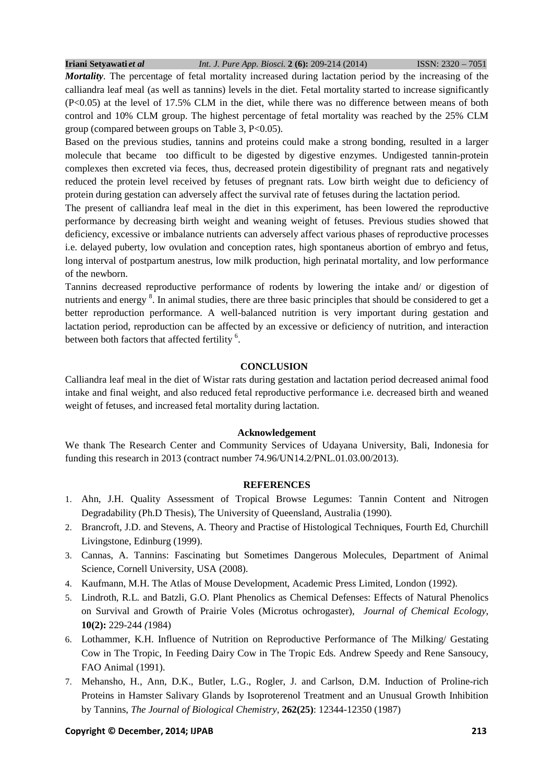*Mortality*. The percentage of fetal mortality increased during lactation period by the increasing of the calliandra leaf meal (as well as tannins) levels in the diet. Fetal mortality started to increase significantly (P<0.05) at the level of 17.5% CLM in the diet, while there was no difference between means of both control and 10% CLM group. The highest percentage of fetal mortality was reached by the 25% CLM group (compared between groups on Table 3, P<0.05).

Based on the previous studies, tannins and proteins could make a strong bonding, resulted in a larger molecule that became too difficult to be digested by digestive enzymes. Undigested tannin-protein complexes then excreted via feces, thus, decreased protein digestibility of pregnant rats and negatively reduced the protein level received by fetuses of pregnant rats. Low birth weight due to deficiency of protein during gestation can adversely affect the survival rate of fetuses during the lactation period.

The present of calliandra leaf meal in the diet in this experiment, has been lowered the reproductive performance by decreasing birth weight and weaning weight of fetuses. Previous studies showed that deficiency, excessive or imbalance nutrients can adversely affect various phases of reproductive processes i.e. delayed puberty, low ovulation and conception rates, high spontaneus abortion of embryo and fetus, long interval of postpartum anestrus, low milk production, high perinatal mortality, and low performance of the newborn.

Tannins decreased reproductive performance of rodents by lowering the intake and/ or digestion of nutrients and energy<sup>8</sup>. In animal studies, there are three basic principles that should be considered to get a better reproduction performance. A well-balanced nutrition is very important during gestation and lactation period, reproduction can be affected by an excessive or deficiency of nutrition, and interaction between both factors that affected fertility <sup>6</sup>.

### **CONCLUSION**

Calliandra leaf meal in the diet of Wistar rats during gestation and lactation period decreased animal food intake and final weight, and also reduced fetal reproductive performance i.e. decreased birth and weaned weight of fetuses, and increased fetal mortality during lactation.

### **Acknowledgement**

We thank The Research Center and Community Services of Udayana University, Bali, Indonesia for funding this research in 2013 (contract number 74.96/UN14.2/PNL.01.03.00/2013).

### **REFERENCES**

- 1. Ahn, J.H. Quality Assessment of Tropical Browse Legumes: Tannin Content and Nitrogen Degradability (Ph.D Thesis), The University of Queensland, Australia (1990).
- 2. Brancroft, J.D. and Stevens, A. Theory and Practise of Histological Techniques, Fourth Ed, Churchill Livingstone, Edinburg (1999).
- 3. Cannas, A. Tannins: Fascinating but Sometimes Dangerous Molecules, Department of Animal Science, Cornell University, USA (2008).
- 4. Kaufmann, M.H. The Atlas of Mouse Development, Academic Press Limited, London (1992).
- 5. Lindroth, R.L*.* and Batzli, G.O. Plant Phenolics as Chemical Defenses: Effects of Natural Phenolics on Survival and Growth of Prairie Voles (Microtus ochrogaster), *Journal of Chemical Ecology*, **10(2):** 229*-*244 *(*1984)
- 6. Lothammer, K.H. Influence of Nutrition on Reproductive Performance of The Milking/ Gestating Cow in The Tropic, In Feeding Dairy Cow in The Tropic Eds. Andrew Speedy and Rene Sansoucy, FAO Animal (1991).
- 7. Mehansho, H., Ann, D.K., Butler, L.G., Rogler, J. and Carlson, D.M. Induction of Proline-rich Proteins in Hamster Salivary Glands by Isoproterenol Treatment and an Unusual Growth Inhibition by Tannins, *The Journal of Biological Chemistry*, **262(25)**: 12344-12350 (1987)

### **Copyright © December, 2014; IJPAB 213**